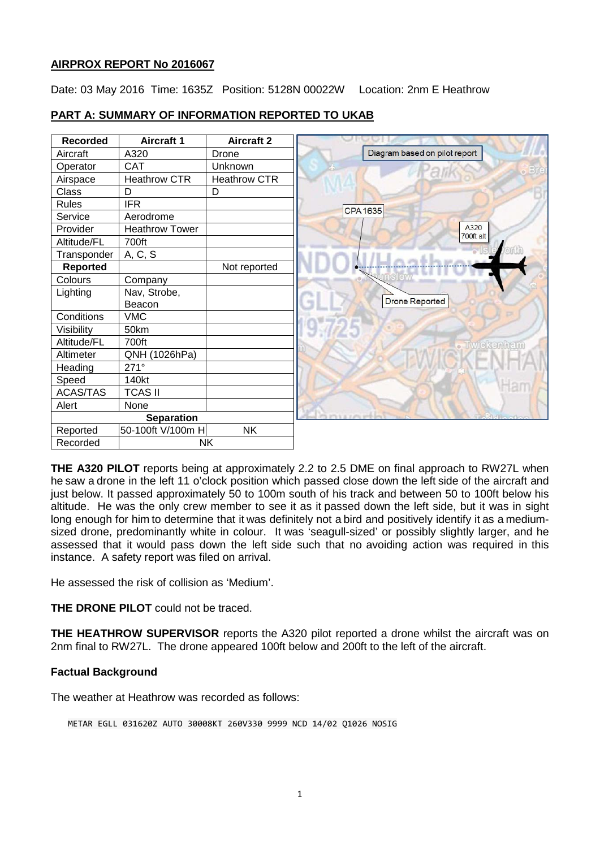# **AIRPROX REPORT No 2016067**

Date: 03 May 2016 Time: 1635Z Position: 5128N 00022W Location: 2nm E Heathrow

| <b>Recorded</b>   | <b>Aircraft 1</b>     | <b>Aircraft 2</b>   |                               |
|-------------------|-----------------------|---------------------|-------------------------------|
| Aircraft          | A320                  | Drone               | Diagram based on pilot report |
| Operator          | <b>CAT</b>            | Unknown             |                               |
| Airspace          | Heathrow CTR          | <b>Heathrow CTR</b> |                               |
| <b>Class</b>      | D                     | D                   |                               |
| <b>Rules</b>      | <b>IFR</b>            |                     | <b>CPA1635</b>                |
| Service           | Aerodrome             |                     |                               |
| Provider          | <b>Heathrow Tower</b> |                     | A320<br>700ft alt             |
| Altitude/FL       | 700ft                 |                     |                               |
| Transponder       | A, C, S               |                     |                               |
| Reported          |                       | Not reported        |                               |
| Colours           | Company               |                     |                               |
| Lighting          | Nav, Strobe,          |                     |                               |
|                   | Beacon                |                     | <b>Drone Reported</b>         |
| Conditions        | <b>VMC</b>            |                     |                               |
| Visibility        | 50km                  |                     |                               |
| Altitude/FL       | 700ft                 |                     | wickenhan                     |
| Altimeter         | QNH (1026hPa)         |                     |                               |
| Heading           | $271^\circ$           |                     |                               |
| Speed             | 140kt                 |                     |                               |
| <b>ACAS/TAS</b>   | <b>TCAS II</b>        |                     |                               |
| Alert             | None                  |                     |                               |
| <b>Separation</b> |                       |                     |                               |
| Reported          | 50-100ft V/100m H     | <b>NK</b>           |                               |
| Recorded          | <b>NK</b>             |                     |                               |

# **PART A: SUMMARY OF INFORMATION REPORTED TO UKAB**

**THE A320 PILOT** reports being at approximately 2.2 to 2.5 DME on final approach to RW27L when he saw a drone in the left 11 o'clock position which passed close down the left side of the aircraft and just below. It passed approximately 50 to 100m south of his track and between 50 to 100ft below his altitude. He was the only crew member to see it as it passed down the left side, but it was in sight long enough for him to determine that it was definitely not a bird and positively identify it as a mediumsized drone, predominantly white in colour. It was 'seagull-sized' or possibly slightly larger, and he assessed that it would pass down the left side such that no avoiding action was required in this instance. A safety report was filed on arrival.

He assessed the risk of collision as 'Medium'.

**THE DRONE PILOT** could not be traced.

**THE HEATHROW SUPERVISOR** reports the A320 pilot reported a drone whilst the aircraft was on 2nm final to RW27L. The drone appeared 100ft below and 200ft to the left of the aircraft.

# **Factual Background**

The weather at Heathrow was recorded as follows:

METAR EGLL 031620Z AUTO 30008KT 260V330 9999 NCD 14/02 Q1026 NOSIG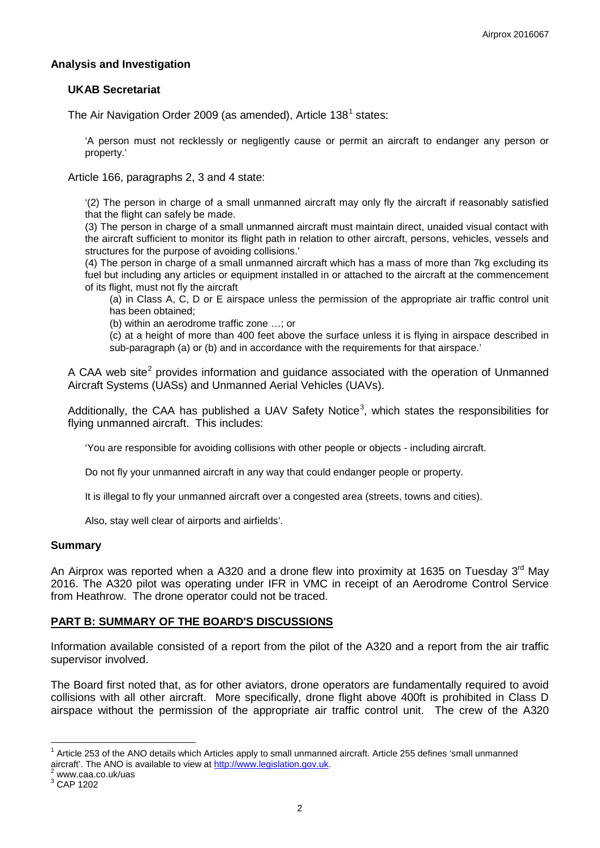### **Analysis and Investigation**

### **UKAB Secretariat**

The Air Navigation Order 2009 (as amended), Article  $138^1$  $138^1$  states:

'A person must not recklessly or negligently cause or permit an aircraft to endanger any person or property.'

Article 166, paragraphs 2, 3 and 4 state:

'(2) The person in charge of a small unmanned aircraft may only fly the aircraft if reasonably satisfied that the flight can safely be made.

(3) The person in charge of a small unmanned aircraft must maintain direct, unaided visual contact with the aircraft sufficient to monitor its flight path in relation to other aircraft, persons, vehicles, vessels and structures for the purpose of avoiding collisions.'

(4) The person in charge of a small unmanned aircraft which has a mass of more than 7kg excluding its fuel but including any articles or equipment installed in or attached to the aircraft at the commencement of its flight, must not fly the aircraft

(a) in Class A, C, D or E airspace unless the permission of the appropriate air traffic control unit has been obtained;

(b) within an aerodrome traffic zone …; or

(c) at a height of more than 400 feet above the surface unless it is flying in airspace described in sub-paragraph (a) or (b) and in accordance with the requirements for that airspace.'

A CAA web site<sup>[2](#page-1-1)</sup> provides information and quidance associated with the operation of Unmanned Aircraft Systems (UASs) and Unmanned Aerial Vehicles (UAVs).

Additionally, the CAA has published a UAV Safety Notice<sup>[3](#page-1-2)</sup>, which states the responsibilities for flying unmanned aircraft. This includes:

'You are responsible for avoiding collisions with other people or objects - including aircraft.

Do not fly your unmanned aircraft in any way that could endanger people or property.

It is illegal to fly your unmanned aircraft over a congested area (streets, towns and cities).

Also, stay well clear of airports and airfields'.

### **Summary**

An Airprox was reported when a A320 and a drone flew into proximity at 1635 on Tuesday 3<sup>rd</sup> May 2016. The A320 pilot was operating under IFR in VMC in receipt of an Aerodrome Control Service from Heathrow. The drone operator could not be traced.

### **PART B: SUMMARY OF THE BOARD'S DISCUSSIONS**

Information available consisted of a report from the pilot of the A320 and a report from the air traffic supervisor involved.

The Board first noted that, as for other aviators, drone operators are fundamentally required to avoid collisions with all other aircraft. More specifically, drone flight above 400ft is prohibited in Class D airspace without the permission of the appropriate air traffic control unit. The crew of the A320

<span id="page-1-0"></span> $1$  Article 253 of the ANO details which Articles apply to small unmanned aircraft. Article 255 defines 'small unmanned aircraft'. The ANO is available to view at [http://www.legislation.gov.uk.](http://www.legislation.gov.uk/)<sup>2</sup> www.caa.co.uk/uas 3 CAP 1202

<span id="page-1-1"></span>

<span id="page-1-2"></span>